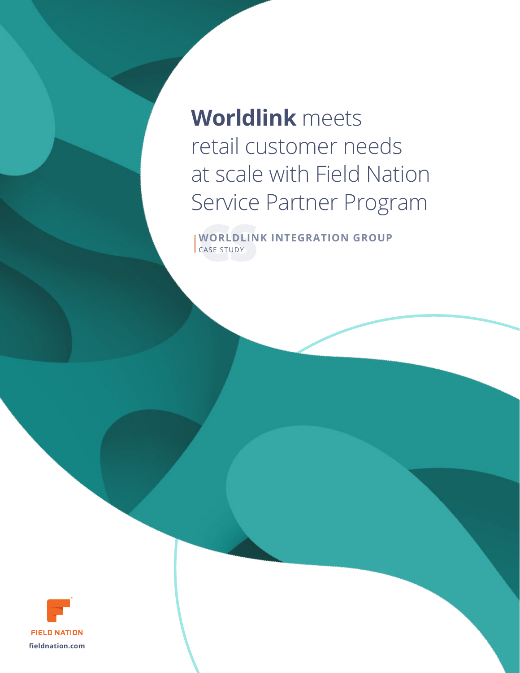**Worldlink** meets retail customer needs at scale with Field Nation Service Partner Program

**WORLDLIN**<br>CASE STUDY **WORLDLINK INTEGRATION GROUP** CASE STUDY

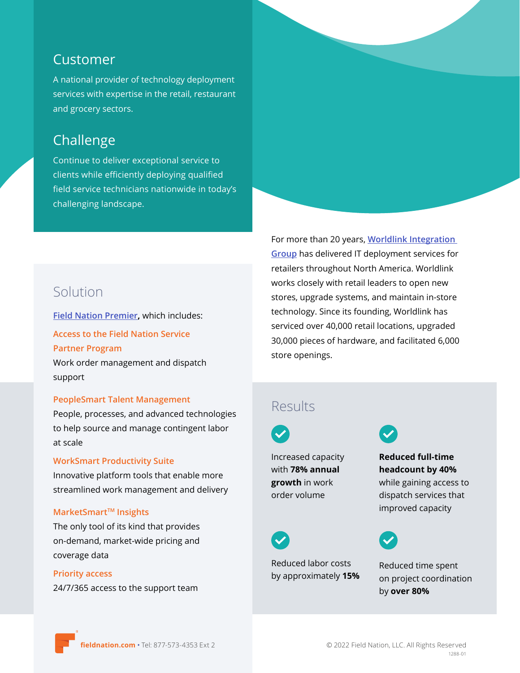### Customer

A national provider of technology deployment services with expertise in the retail, restaurant and grocery sectors.

# Challenge

Continue to deliver exceptional service to clients while efficiently deploying qualified field service technicians nationwide in today's challenging landscape.

# Solution

**[Field Nation Premier](https://fieldnation.com/premier?utm_source=pdf&utm_medium=mar_comms&utm_campaign=tof_pros&utm_content=worldlink),** which includes:

**Access to the Field Nation Service Partner Program** Work order management and dispatch support

#### **PeopleSmart Talent Management**

People, processes, and advanced technologies to help source and manage contingent labor at scale

#### **WorkSmart Productivity Suite**

Innovative platform tools that enable more streamlined work management and delivery

#### **MarketSmart™ Insights**

The only tool of its kind that provides on-demand, market-wide pricing and coverage data

#### **Priority access**

24/7/365 access to the support team

For more than 20 years, **[Worldlink Integration](https://worldlinkintegration.com/)  [Group](https://worldlinkintegration.com/)** has delivered IT deployment services for retailers throughout North America. Worldlink works closely with retail leaders to open new stores, upgrade systems, and maintain in-store technology. Since its founding, Worldlink has serviced over 40,000 retail locations, upgraded 30,000 pieces of hardware, and facilitated 6,000 store openings.

### Results

Increased capacity with **78% annual growth** in work order volume



Reduced labor costs by approximately **15%**

Reduced time spent on project coordination by **over 80%**

**Reduced full-time headcount by 40%**  while gaining access to dispatch services that improved capacity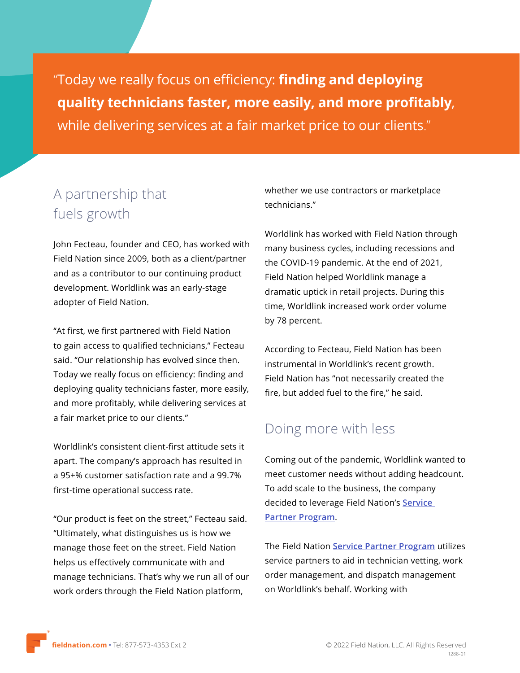"Today we really focus on efficiency: **finding and deploying quality technicians faster, more easily, and more profitably**, while delivering services at a fair market price to our clients."

# A partnership that fuels growth

John Fecteau, founder and CEO, has worked with Field Nation since 2009, both as a client/partner and as a contributor to our continuing product development. Worldlink was an early-stage adopter of Field Nation.

"At first, we first partnered with Field Nation to gain access to qualified technicians," Fecteau said. "Our relationship has evolved since then. Today we really focus on efficiency: finding and deploying quality technicians faster, more easily, and more profitably, while delivering services at a fair market price to our clients."

Worldlink's consistent client-first attitude sets it apart. The company's approach has resulted in a 95+% customer satisfaction rate and a 99.7% first-time operational success rate.

"Our product is feet on the street," Fecteau said. "Ultimately, what distinguishes us is how we manage those feet on the street. Field Nation helps us effectively communicate with and manage technicians. That's why we run all of our work orders through the Field Nation platform,

whether we use contractors or marketplace technicians."

Worldlink has worked with Field Nation through many business cycles, including recessions and the COVID-19 pandemic. At the end of 2021, Field Nation helped Worldlink manage a dramatic uptick in retail projects. During this time, Worldlink increased work order volume by 78 percent.

According to Fecteau, Field Nation has been instrumental in Worldlink's recent growth. Field Nation has "not necessarily created the fire, but added fuel to the fire," he said.

# Doing more with less

Coming out of the pandemic, Worldlink wanted to meet customer needs without adding headcount. To add scale to the business, the company decided to leverage Field Nation's **[Service](https://fieldnation.com/service-partner-program?utm_source=pdf&utm_medium=mar_comms&utm_campaign=tof_pros&utm_content=worldlink)  [Partner Program](https://fieldnation.com/service-partner-program?utm_source=pdf&utm_medium=mar_comms&utm_campaign=tof_pros&utm_content=worldlink)**.

The Field Nation **[Service Partner Program](https://fieldnation.com/service-partner-program?utm_source=pdf&utm_medium=mar_comms&utm_campaign=tof_pros&utm_content=worldlink)** utilizes service partners to aid in technician vetting, work order management, and dispatch management on Worldlink's behalf. Working with